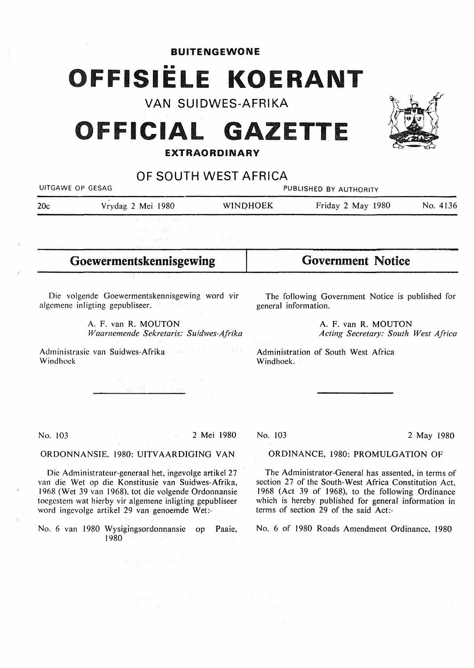**BUITENGEWONE** 

## OFFISIËLE KOERANT

VAN SUIDWES-AFRIKA

### **OFFICIAL GAZETTE**

#### **EXTRAORDINARY**

OF SOUTH WEST AFRICA UITGAWE OP GESAG **PUBLISHED BY AUTHORITY** 20c Vrydag 2 Mei 1980 WINDHOEK Friday 2 May 1980 No. 4136 **Goewermentskennisgewing**  Die volgende Goewermentskennisgewing word vir algemene inligting gepubliseer. A. F. van R. MOUTON *Waarnemende Sekretaris: Suldwes-Afrika*  Administrasie van Suidwes-Afrika Windhoek No. 103 2 Mei 1980 **ORDONNANSIE,** 1980: **UITVAARDIGING VAN**  Die Administrateur-generaal het, ingevolge artikel 27 van die Wet op die Konstitusie van Suidwes-Afrika, 1968 (Wet 39 van 1968), tot die volgende Ordonnansie toegestem wat hierby vir algemene inligting gepubliseer Government Notice The following Government Notice is published for general information. A. F. van **R. MOUTON**  *Acting Secretary: South West Africa*  Administration of South West Africa Windhoek. No. 103 2 May 1980 ORDINANCE, 1980: PROMULGATION OF The Administrator-General has assented, in terms of section 27 of the South-West Africa Constitution Act, 1968 (Act 39 of 1968), to the following Ordinance which is hereby published for general information in terms of section 29 of the said Act:-

1980

No. 6 of 1980 Roads Amendment Ordinance, 1980



word ingcvolge artikel 29 van genoemde Wet:-

No. 6 van 1980 Wysigingsordonnansie op Paaie,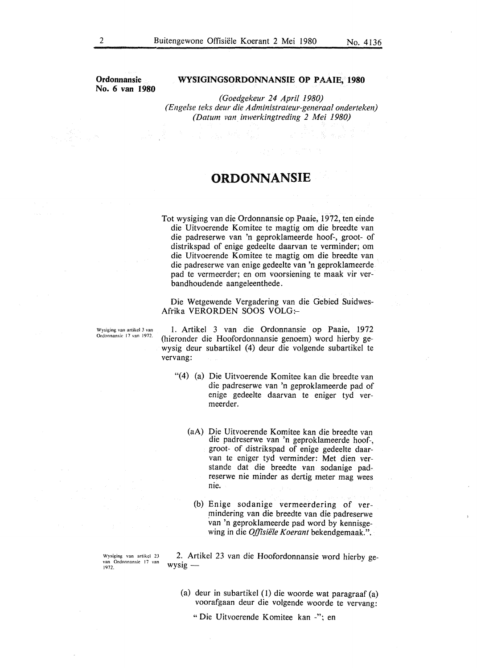**Ordonnansie No. 6 van 1980** 

#### WYSIGINGSORDONNANSIE OP PAAIE,<sup>0</sup>1980

*(Goedgekeur 24 April 1980) (Engelse teks deur die Administrateur-generaal onderteken) (Datum van inwerkingtreding 2 Mei 1980)* 

#### **ORDONNANSIE**

Tot wysiging van die Ordonnansie op Paaie, 1972, ten einde die Uitvoerende Komitee te magtig om die breedte van die padreserwe van 'n geproklameerde hoof-, groot- of distrikspad of enige gedeelte daarvan te verminder; om die Uitvoerende Komitee te magtig om die breedte van die padreserwe van enige gedeelte van 'n geproklameerde pad te vermeerder; en om voorsiening te maak vir verbandhoudende aangeleenthede.

Die Wetgewende Vergadering van die Gebied Suidwes-Afrika VERORDEN SOOS VOLG:-

**Wysiging van artikcl 3 van**  Ordonnansic 17 van 1972.

1. Artikel 3 van die Ordonnansie op Paaie, 1972 (hieronder die Hoofordonnansie genoem) word hierby gewysig deur subartikel (4) deur die volgende subartikel te vervang:

- "(4) (a) Die Uitvoerende Komitee kan die breedte van die padreserwe van 'n geproklameerde pad of enige gedeelte daarvan te eniger tyd vermeerder.
	- (aA) Die Uitvoerende Komitee kan die breedte van die padreserwe van 'n geproklameerde hoof-, groot- of distrikspad of enige gedeelte daarvan te eniger tyd verminder: Met dien verstande dat die breedte van sodanige padreserwe nie minder as dertig meter mag wees nie.
		- (b) Enige sodanige vermeerdering of vermindering van die breedte van die padreserwe van 'n geproklameerde pad word by kennisgewing in die *Offisiële Koerant* bekendgemaak.".

Wysiging van artikel 23 van Ordonnansie 17 van 1972.

2. Artikel 23 van die Hoofordonnansie word hierby ge $wysig -$ 

(a) deur in subartikel (1) die woorde wat paragraaf (a) voorafgaan deur die volgende woorde te vervang:

"Die Uitvoerende Komitee kan -"; en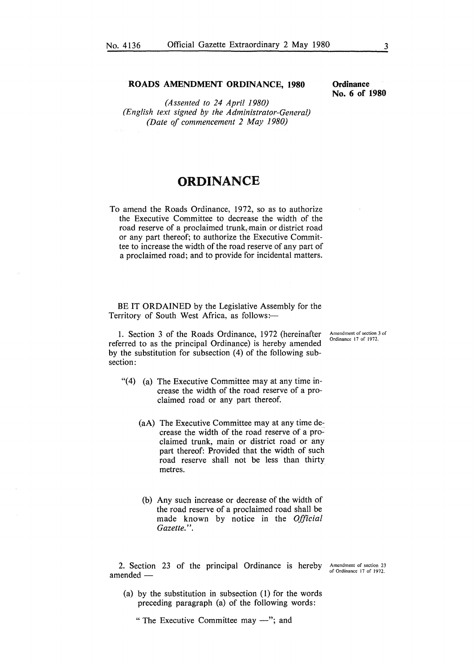*(Assented to 24 April 1980) (English text signed by the Administrator-General) (Date of commencement 2 May 1980)* 

### **ORDINANCE**

To amend the Roads Ordinance, 1972, so as to authorize the Executive Committee to decrease the width of the road reserve of a proclaimed trunk, main or district road or any part thereof; to authorize the Executive Committee to increase the width of the road reserve of any part of a proclaimed road; and to provide for incidental matters.

BE IT ORDAINED by the Legislative Assembly for the Territory of South West Africa, as follows:-

1. Section 3 of the Roads Ordinance, 1972 (hereinafter referred to as the principal Ordinance) is hereby amended by the substitution for subsection (4) of the following subsection:

- $(4)$  (a) The Executive Committee may at any time increase the width of the road reserve of a proclaimed road or any part thereof.
	- **(aA)** The Executive Committee may at any time decrease the width of the road reserve of a proclaimed trunk, main or district road or any part thereof: Provided that the width of such road reserve shall not be less than thirty metres.
	- (b) Any such increase or decrease of the width of the road reserve of a proclaimed road shall be made known by notice in the *Official Gazette.".*

2. Section 23 of the principal Ordinance is hereby amended -

Amendment of section 23 of Ordinance 17 of 1972.

(a) by the substitution in subsection (1) for the words preceding paragraph (a) of the following words:

" The Executive Committee may  $-$ "; and

**Ordinance No. 6 of 1980** 

**Amendment of section 3 of**  Ordinance 17 of 1972.

**ROADS AMENDMENT ORDINANCE, 1980**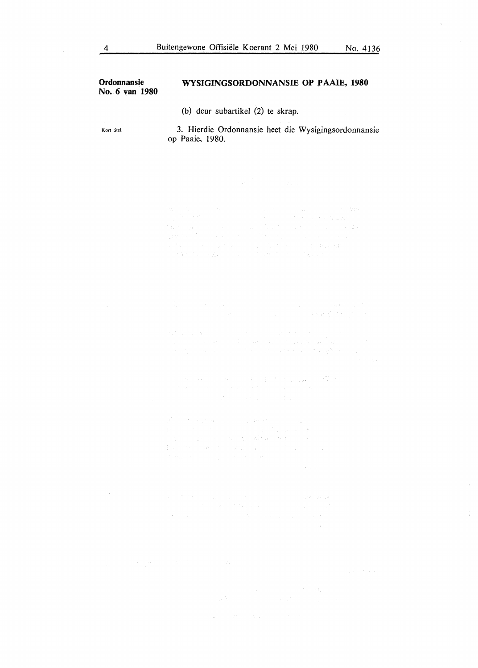# **Ordonnansie**  WYSIGINGSORDONNANSIE OP PAAIE, 1980 **No. 6 van 1980**  (b) deur subartikel (2) te skrap. Kort titel. 3. Hierdie Ordonnansie heet die Wysigingsordonnansie op Paaie, 1980.  $\begin{split} &\lim_{\varepsilon\to 0} \varepsilon^{-1} \big( \mathcal{E}_\varepsilon \big) = - \varepsilon \, \delta \, \varepsilon \, , \qquad \qquad \mathrm{d} \, \varepsilon^{-1} \big) = - \varepsilon \, \mathrm{d} \, \varepsilon \, \mathrm{d} \, \varepsilon \, , \qquad \qquad \mathrm{d} \, \varepsilon \, , \qquad \qquad \mathrm{d} \, \varepsilon \, , \qquad \qquad \mathrm{d} \, \varepsilon \, , \qquad \qquad \mathrm{d} \, \varepsilon \, , \qquad \qquad \mathrm{d} \, \varepsilon \, , \q$ an ang  $\begin{split} \mathbf{d}^{\mathcal{A}}_{\mathcal{A}}\left(\mathbf{e}^{i\mathcal{A}}_{\mathcal{A}}\right) & =\mathbf{d}^{\mathcal{A}}_{\mathcal{A}}\left(\mathbf{e}^{i\mathcal{A}}_{\mathcal{A}}\right) & =\mathbf{d}^{\mathcal{A}}_{\mathcal{A}}\left(\mathbf{e}^{i\mathcal{A}}_{\mathcal{A}}\right) & =\mathbf{d}^{\mathcal{A}}_{\mathcal{A}}\left(\mathbf{e}^{i\mathcal{A}}_{\mathcal{A}}\right) & =\mathbf{d}^{\mathcal{A}}_{\mathcal{A}}\left(\$

 $\begin{split} &\Delta \hat{f}^{\prime}(\omega) = f^{\prime}(\omega) \Delta \hat{f}^{\prime}(\omega) = \omega_{\rm{eff}} \left( \omega_{\rm{eff}} \right) = \omega_{\rm{eff}} \left( \omega_{\rm{eff}} \right) \left( \omega_{\rm{eff}} \right) \left( \omega_{\rm{eff}} \right) = \omega_{\rm{eff}} \left( \omega_{\rm{eff}} \right) \left( \omega_{\rm{eff}} \right) \left( \omega_{\rm{eff}} \right) = \omega_{\rm{eff}} \left( \omega_{\rm{eff}} \right) \left( \omega_{\rm{eff}} \right) \left( \omega_{\rm{eff}} \right) =$ 

 $\lambda$  $\sim 10^7$ 

 $\sim 10$ 

 $\chi_{\rm{eff}}$  is a constant of the state of the state of the state  $\chi_{\rm{eff}}$  and  $\chi_{\rm{eff}}$ 

 $\mathbb{Z}$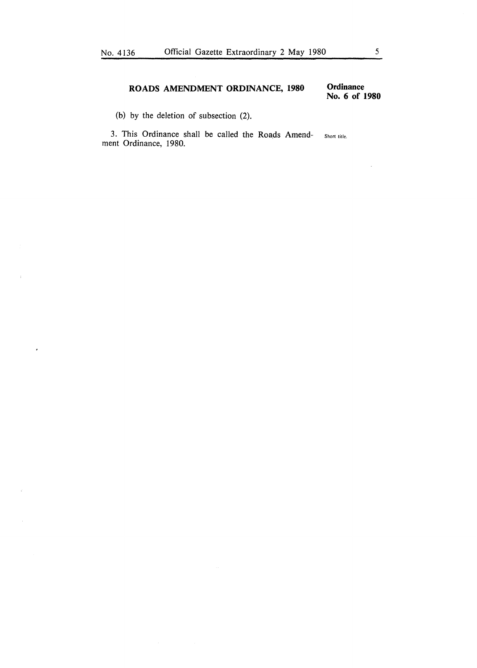#### **ROADS AMENDMENT ORDINANCE, 1980**

**Ordinance No. 6 of 1980** 

(b) by the deletion of subsection (2).

 $\bar{z}$ 

 $\bullet$ 

3. This Ordinance shall be called the Roads Amendment Ordinance, 1980. Short title.